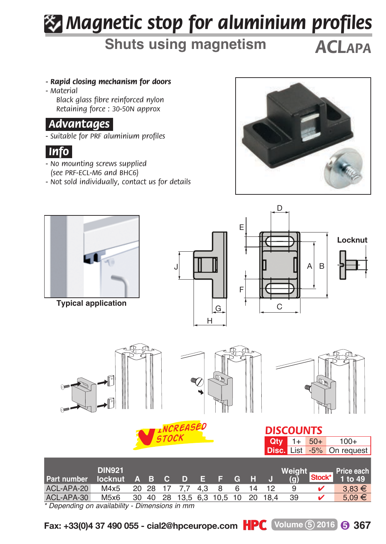## *Magnetic stop for aluminium profiles*

## **Shuts using magnetism** *ACLAPA*

- *Rapid closing mechanism for doors*
- *M aterial Black glass fibre reinforced nylon Retaining force : 30-50N approx*

## *.Advantages.*

*- Suitable for PRF aluminium profiles*



- *No mounting screws supplied (see PRF-ECL-M6 and BHC6)*
- *Not sold individually, contact us for details*





**Typical application**







| Part number locknut A B C D E F G H J             | <b>DIN921</b>                             |  |  |  |  | Weight _____<br>(q) | <b>Price each</b><br>$Stock*$ 1 to 49 |
|---------------------------------------------------|-------------------------------------------|--|--|--|--|---------------------|---------------------------------------|
| ACL-APA-20                                        | M4x5 20 28 17 7.7 4.3 8 6 14 12           |  |  |  |  | 9                   | $3.83 \in$                            |
| ACL-APA-30                                        | M5x6 30 40 28 13,5 6,3 10,5 10 20 18,4 39 |  |  |  |  |                     | $5.09 \in$                            |
| * Department of conditional Disconsists for provi |                                           |  |  |  |  |                     |                                       |

*\* Depending on availability - Dimensions in mm*

**Fax: +33(0)4 37 490 055 - cial2@hpceurope.com**  $\text{HPC}$  Volume 5 2016 6 367